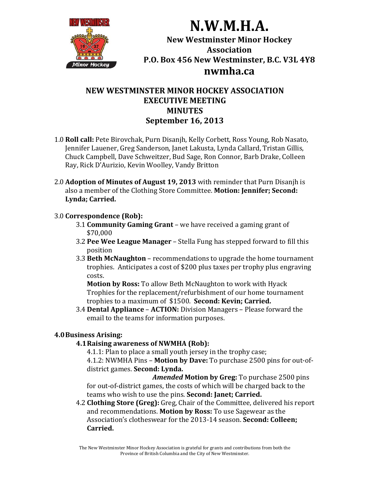

# **NEW WESTMINSTER MINOR HOCKEY ASSOCIATION EXECUTIVE MEETING MINUTES September 16, 2013**

- 1.0 **Roll call:** Pete Birovchak, Purn Disanjh, Kelly Corbett, Ross Young, Rob Nasato, Jennifer Lauener, Greg Sanderson, Janet Lakusta, Lynda Callard, Tristan Gillis, Chuck Campbell, Dave Schweitzer, Bud Sage, Ron Connor, Barb Drake, Colleen Ray, Rick D'Aurizio, Kevin Woolley, Vandy Britton
- 2.0 **Adoption of Minutes of August 19, 2013** with reminder that Purn Disanjh is also a member of the Clothing Store Committee. **Motion: Jennifer; Second: Lynda; Carried.**

#### 3.0 **Correspondence (Rob):**

- **3.1 Community Gaming Grant** we have received a gaming grant of \$70,000
- **3.2 Pee Wee League Manager** Stella Fung has stepped forward to fill this position
- **3.3 Beth McNaughton** recommendations to upgrade the home tournament trophies. Anticipates a cost of \$200 plus taxes per trophy plus engraving costs.

**Motion by Ross:** To allow Beth McNaughton to work with Hyack Trophies for the replacement/refurbishment of our home tournament trophies to a maximum of \$1500. **Second: Kevin; Carried.** 

**3.4 Dental Appliance – ACTION:** Division Managers – Please forward the email to the teams for information purposes.

## **4.0Business Arising:**

## **4.1Raising awareness of NWMHA (Rob):**

4.1.1: Plan to place a small youth jersey in the trophy case; 4.1.2: NWMHA Pins – **Motion by Dave:** To purchase 2500 pins for out-ofdistrict games. **Second: Lynda.** 

*Amended* **Motion by Greg:** To purchase 2500 pins for out-of-district games, the costs of which will be charged back to the teams who wish to use the pins. **Second: Janet; Carried.**

4.2 **Clothing Store (Greg):** Greg, Chair of the Committee, delivered his report and recommendations. Motion by Ross: To use Sagewear as the Association's clotheswear for the 2013-14 season. **Second: Colleen; Carried.**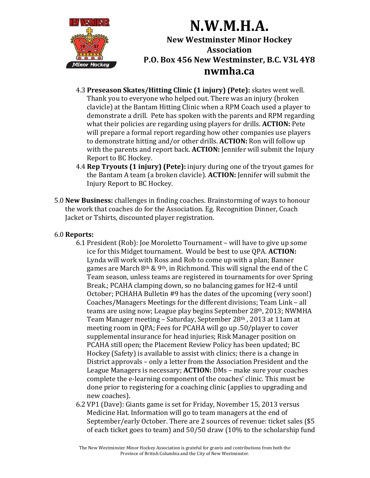

- 4.3 **Preseason Skates/Hitting Clinic (1 injury) (Pete):** skates went well. Thank you to everyone who helped out. There was an injury (broken clavicle) at the Bantam Hitting Clinic when a RPM Coach used a player to demonstrate a drill. Pete has spoken with the parents and RPM regarding what their policies are regarding using players for drills. **ACTION:** Pete will prepare a formal report regarding how other companies use players to demonstrate hitting and/or other drills. **ACTION:** Ron will follow up with the parents and report back. **ACTION:** Jennifer will submit the Injury Report to BC Hockey.
- 4.4 **Rep Tryouts (1 injury) (Pete):** injury during one of the tryout games for the Bantam A team (a broken clavicle). **ACTION:** Jennifer will submit the Injury Report to BC Hockey.
- 5.0 **New Business:** challenges in finding coaches. Brainstorming of ways to honour the work that coaches do for the Association. Eg. Recognition Dinner, Coach Jacket or Tshirts, discounted player registration.

#### 6.0 **Reports:**

- 6.1 President (Rob): Joe Moroletto Tournament will have to give up some ice for this Midget tournament. Would be best to use QPA. **ACTION:** Lynda will work with Ross and Rob to come up with a plan; Banner games are March  $8<sup>th</sup>$  & 9<sup>th</sup>, in Richmond. This will signal the end of the C Team season, unless teams are registered in tournaments for over Spring Break.; PCAHA clamping down, so no balancing games for H2-4 until October; PCHAHA Bulletin #9 has the dates of the upcoming (very soon!) Coaches/Managers Meetings for the different divisions; Team Link – all teams are using now; League play begins September 28<sup>th</sup>, 2013; NWMHA Team Manager meeting – Saturday, September 28<sup>th</sup>, 2013 at 11am at meeting room in OPA; Fees for PCAHA will go up .50/player to cover supplemental insurance for head injuries; Risk Manager position on PCAHA still open; the Placement Review Policy has been updated; BC Hockey (Safety) is available to assist with clinics; there is a change in District approvals – only a letter from the Association President and the League Managers is necessary; **ACTION:** DMs – make sure your coaches complete the e-learning component of the coaches' clinic. This must be done prior to registering for a coaching clinic (applies to upgrading and new coaches).
- 6.2 VP1 (Dave): Giants game is set for Friday, November 15, 2013 versus Medicine Hat. Information will go to team managers at the end of September/early October. There are 2 sources of revenue: ticket sales  $$5$ of each ticket goes to team) and  $50/50$  draw (10% to the scholarship fund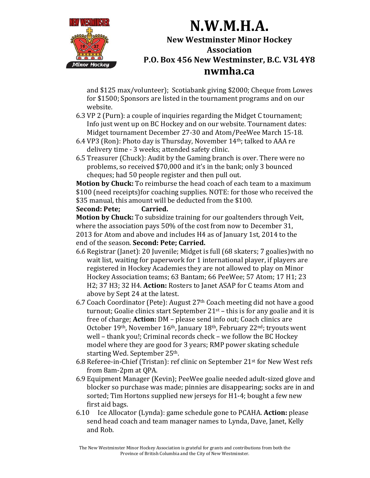

and \$125 max/volunteer); Scotiabank giving \$2000; Cheque from Lowes for \$1500; Sponsors are listed in the tournament programs and on our website. 

- 6.3 VP 2 (Purn): a couple of inquiries regarding the Midget C tournament; Info just went up on BC Hockey and on our website. Tournament dates: Midget tournament December 27-30 and Atom/PeeWee March 15-18.
- 6.4 VP3 (Ron): Photo day is Thursday, November  $14<sup>th</sup>$ ; talked to AAA re delivery time - 3 weeks; attended safety clinic.
- 6.5 Treasurer (Chuck): Audit by the Gaming branch is over. There were no problems, so received \$70,000 and it's in the bank; only 3 bounced cheques; had 50 people register and then pull out.

**Motion by Chuck:** To reimburse the head coach of each team to a maximum \$100 (need receipts) for coaching supplies. NOTE: for those who received the \$35 manual, this amount will be deducted from the \$100.

**Second: Pete; Carried.**

**Motion by Chuck:** To subsidize training for our goaltenders through Veit, where the association pays  $50\%$  of the cost from now to December 31, 2013 for Atom and above and includes H4 as of January 1st, 2014 to the end of the season. **Second: Pete; Carried.**

- 6.6 Registrar (Janet): 20 Juvenile; Midget is full (68 skaters; 7 goalies) with no wait list, waiting for paperwork for 1 international player, if players are registered in Hockey Academies they are not allowed to play on Minor Hockey Association teams; 63 Bantam; 66 PeeWee; 57 Atom; 17 H1; 23 H2; 37 H3; 32 H4. Action: Rosters to Janet ASAP for C teams Atom and above by Sept 24 at the latest.
- 6.7 Coach Coordinator (Pete): August  $27<sup>th</sup>$  Coach meeting did not have a good turnout; Goalie clinics start September  $21^{st}$  – this is for any goalie and it is free of charge; **Action:** DM – please send info out; Coach clinics are October  $19<sup>th</sup>$ , November  $16<sup>th</sup>$ , January  $18<sup>th</sup>$ , February  $22<sup>nd</sup>$ ; tryouts went well – thank you!; Criminal records check – we follow the BC Hockey model where they are good for 3 years; RMP power skating schedule starting Wed. September 25<sup>th</sup>.
- 6.8 Referee-in-Chief (Tristan): ref clinic on September  $21^{st}$  for New West refs from 8am-2pm at OPA.
- 6.9 Equipment Manager (Kevin); PeeWee goalie needed adult-sized glove and blocker so purchase was made; pinnies are disappearing; socks are in and sorted; Tim Hortons supplied new jerseys for H1-4; bought a few new first aid bags.
- 6.10 Ice Allocator (Lynda): game schedule gone to PCAHA. **Action:** please send head coach and team manager names to Lynda, Dave, Janet, Kelly and Rob.